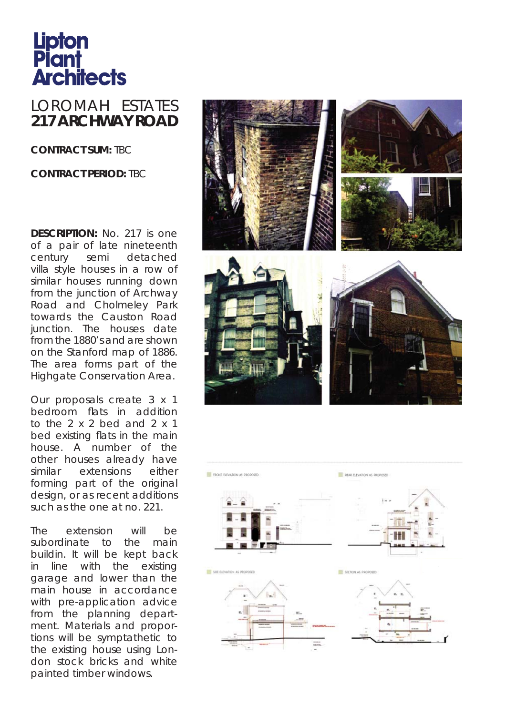## **Lipton<br>Plant<br>Architects**

## LOROMAH ESTATES **217 ARCHWAY ROAD**

**CONTRACT SUM:** TBC

## **CONTRACT PERIOD:** TBC

**DESCRIPTION:** No. 217 is one of a pair of late nineteenth century semi detached villa style houses in a row of similar houses running down from the junction of Archway Road and Cholmeley Park towards the Causton Road junction. The houses date from the 1880's and are shown on the Stanford map of 1886. The area forms part of the Highgate Conservation Area.

Our proposals create 3 x 1 bedroom flats in addition to the  $2 \times 2$  bed and  $2 \times 1$ bed existing flats in the main house. A number of the other houses already have similar extensions either forming part of the original design, or as recent additions such as the one at no. 221.

The extension will be subordinate to the main buildin. It will be kept back in line with the existing garage and lower than the main house in accordance with pre-application advice from the planning department. Materials and proportions will be symptathetic to the existing house using London stock bricks and white painted timber windows.



SEE BLEVATION AS PROPOS SECTION AS PROPOSED